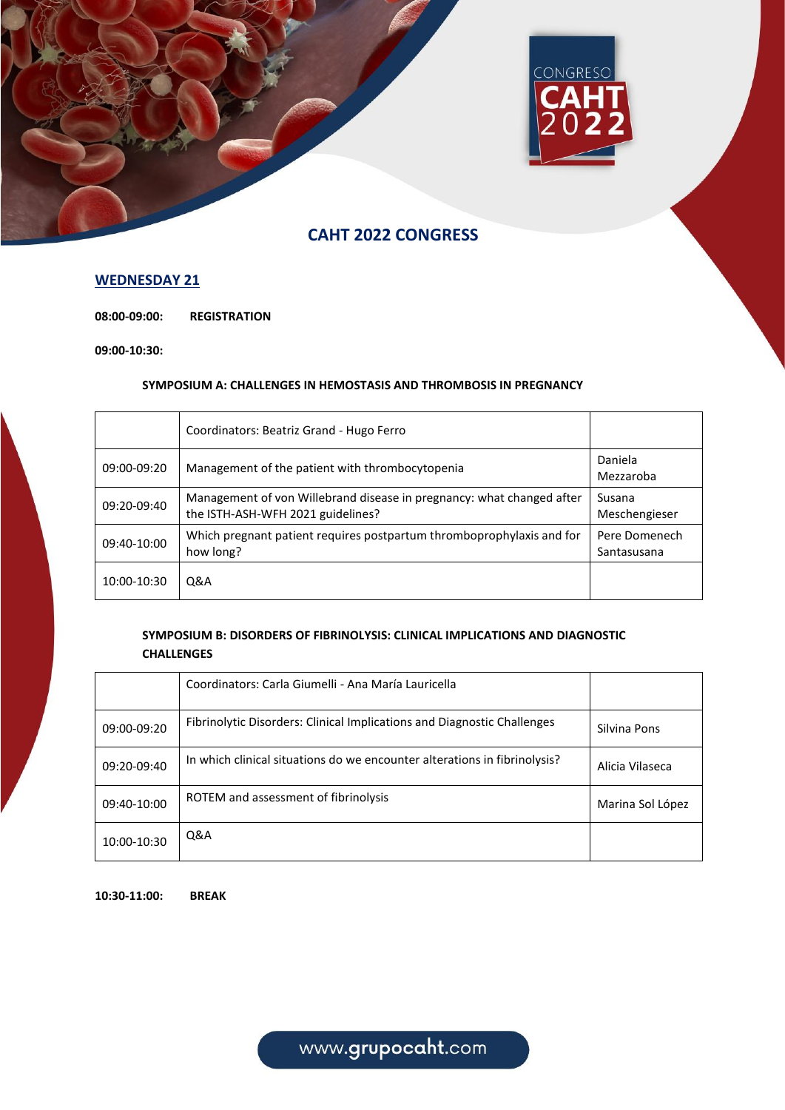

## **WEDNESDAY 21**

**08:00-09:00: REGISTRATION**

**09:00-10:30:**

### **SYMPOSIUM A: CHALLENGES IN HEMOSTASIS AND THROMBOSIS IN PREGNANCY**

|             | Coordinators: Beatriz Grand - Hugo Ferro                                                                   |                              |
|-------------|------------------------------------------------------------------------------------------------------------|------------------------------|
| 09:00-09:20 | Management of the patient with thrombocytopenia                                                            | Daniela<br>Mezzaroba         |
| 09:20-09:40 | Management of von Willebrand disease in pregnancy: what changed after<br>the ISTH-ASH-WFH 2021 guidelines? | Susana<br>Meschengieser      |
| 09:40-10:00 | Which pregnant patient requires postpartum thromboprophylaxis and for<br>how long?                         | Pere Domenech<br>Santasusana |
| 10:00-10:30 | <b>Q&amp;A</b>                                                                                             |                              |

## **SYMPOSIUM B: DISORDERS OF FIBRINOLYSIS: CLINICAL IMPLICATIONS AND DIAGNOSTIC CHALLENGES**

|             | Coordinators: Carla Giumelli - Ana María Lauricella                       |                  |
|-------------|---------------------------------------------------------------------------|------------------|
| 09:00-09:20 | Fibrinolytic Disorders: Clinical Implications and Diagnostic Challenges   | Silvina Pons     |
| 09:20-09:40 | In which clinical situations do we encounter alterations in fibrinolysis? | Alicia Vilaseca  |
| 09:40-10:00 | ROTEM and assessment of fibrinolysis                                      | Marina Sol López |
| 10:00-10:30 | <b>Q&amp;A</b>                                                            |                  |

**10:30-11:00: BREAK**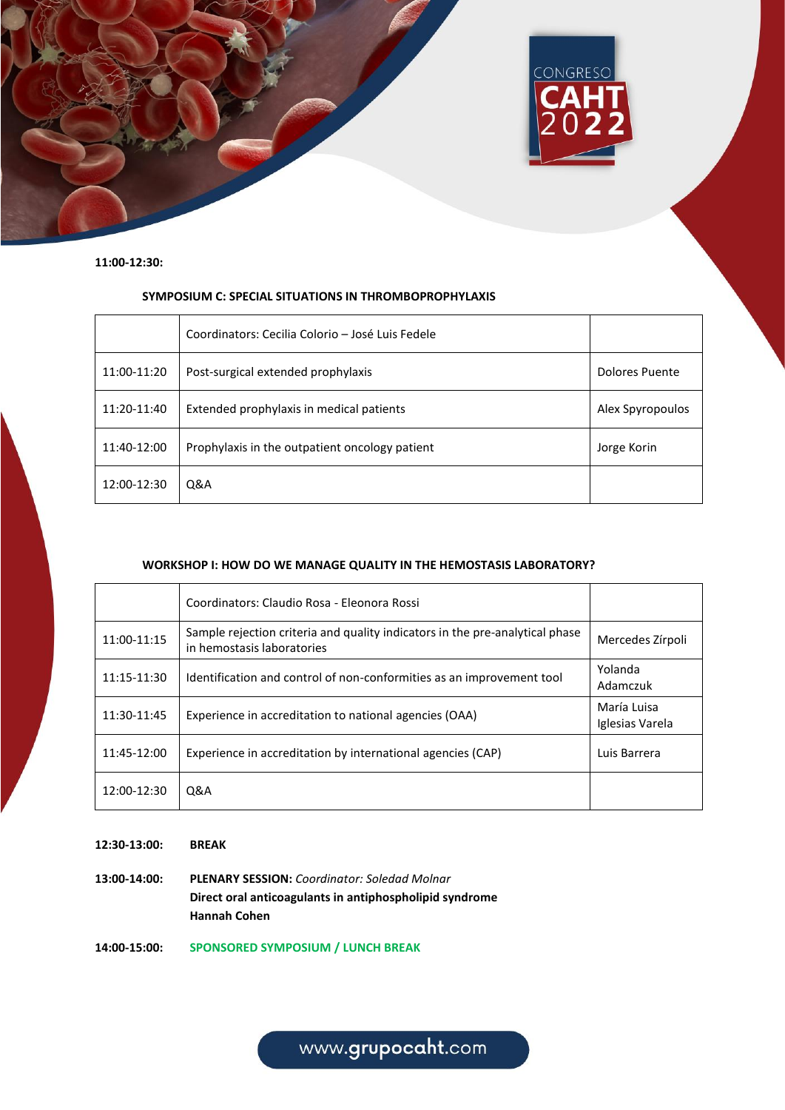

#### **11:00-12:30:**

## **SYMPOSIUM C: SPECIAL SITUATIONS IN THROMBOPROPHYLAXIS**

|             | Coordinators: Cecilia Colorio – José Luis Fedele |                  |
|-------------|--------------------------------------------------|------------------|
| 11:00-11:20 | Post-surgical extended prophylaxis               | Dolores Puente   |
| 11:20-11:40 | Extended prophylaxis in medical patients         | Alex Spyropoulos |
| 11:40-12:00 | Prophylaxis in the outpatient oncology patient   | Jorge Korin      |
| 12:00-12:30 | Q&A                                              |                  |

### **WORKSHOP I: HOW DO WE MANAGE QUALITY IN THE HEMOSTASIS LABORATORY?**

|             | Coordinators: Claudio Rosa - Eleonora Rossi                                                                |                                |
|-------------|------------------------------------------------------------------------------------------------------------|--------------------------------|
| 11:00-11:15 | Sample rejection criteria and quality indicators in the pre-analytical phase<br>in hemostasis laboratories | Mercedes Zírpoli               |
| 11:15-11:30 | Identification and control of non-conformities as an improvement tool                                      | Yolanda<br>Adamczuk            |
| 11:30-11:45 | Experience in accreditation to national agencies (OAA)                                                     | María Luisa<br>Iglesias Varela |
| 11:45-12:00 | Experience in accreditation by international agencies (CAP)                                                | Luis Barrera                   |
| 12:00-12:30 | Q&A                                                                                                        |                                |

**12:30-13:00: BREAK**

**13:00-14:00: PLENARY SESSION:** *Coordinator: Soledad Molnar* **Direct oral anticoagulants in antiphospholipid syndrome Hannah Cohen**

**14:00-15:00: SPONSORED SYMPOSIUM / LUNCH BREAK**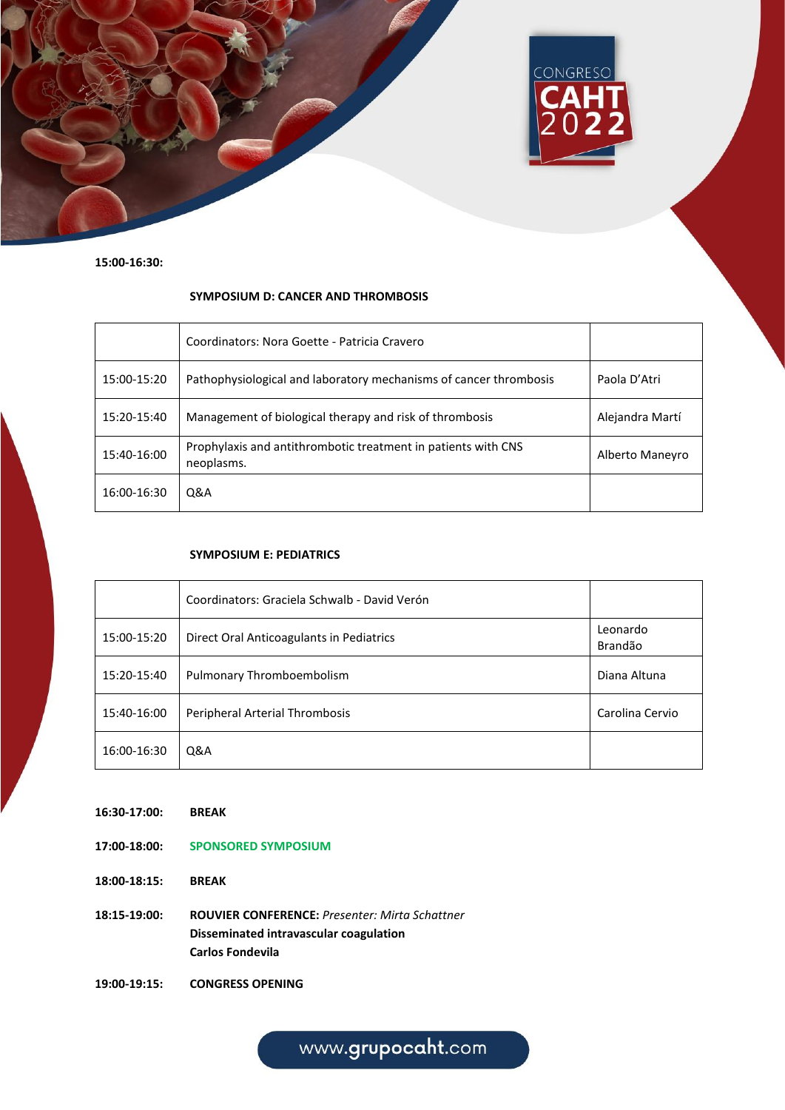

**15:00-16:30:**

### **SYMPOSIUM D: CANCER AND THROMBOSIS**

|             | Coordinators: Nora Goette - Patricia Cravero                                |                 |
|-------------|-----------------------------------------------------------------------------|-----------------|
| 15:00-15:20 | Pathophysiological and laboratory mechanisms of cancer thrombosis           | Paola D'Atri    |
| 15:20-15:40 | Management of biological therapy and risk of thrombosis                     | Alejandra Martí |
| 15:40-16:00 | Prophylaxis and antithrombotic treatment in patients with CNS<br>neoplasms. | Alberto Maneyro |
| 16:00-16:30 | Q&A                                                                         |                 |

#### **SYMPOSIUM E: PEDIATRICS**

|             | Coordinators: Graciela Schwalb - David Verón |                     |
|-------------|----------------------------------------------|---------------------|
| 15:00-15:20 | Direct Oral Anticoagulants in Pediatrics     | Leonardo<br>Brandão |
| 15:20-15:40 | Pulmonary Thromboembolism                    | Diana Altuna        |
| 15:40-16:00 | Peripheral Arterial Thrombosis               | Carolina Cervio     |
| 16:00-16:30 | Q&A                                          |                     |

- **16:30-17:00: BREAK**
- **17:00-18:00: SPONSORED SYMPOSIUM**
- **18:00-18:15: BREAK**
- **18:15-19:00: ROUVIER CONFERENCE:** *Presenter: Mirta Schattner* **Disseminated intravascular coagulation Carlos Fondevila**
- **19:00-19:15: CONGRESS OPENING**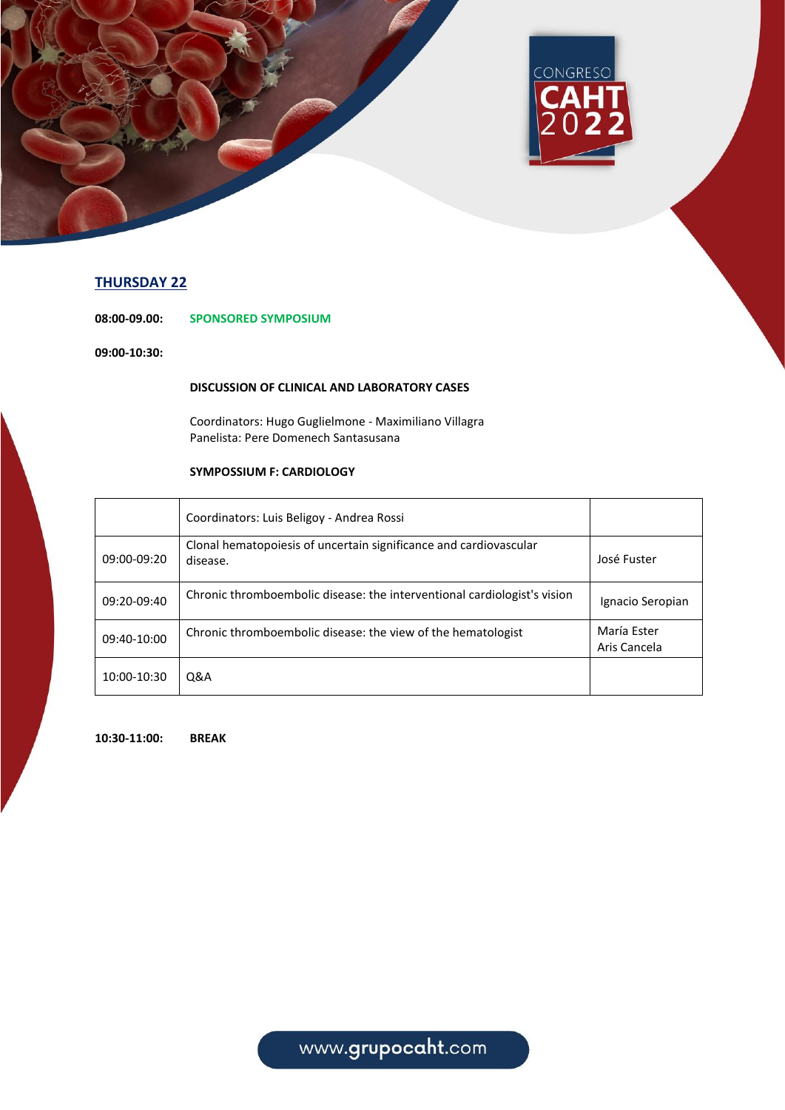

# **THURSDAY 22**

**08:00-09.00: SPONSORED SYMPOSIUM**

**09:00-10:30:**

## **DISCUSSION OF CLINICAL AND LABORATORY CASES**

Coordinators: Hugo Guglielmone - Maximiliano Villagra Panelista: Pere Domenech Santasusana

## **SYMPOSSIUM F: CARDIOLOGY**

|             | Coordinators: Luis Beligoy - Andrea Rossi                                     |                             |
|-------------|-------------------------------------------------------------------------------|-----------------------------|
| 09:00-09:20 | Clonal hematopoiesis of uncertain significance and cardiovascular<br>disease. | José Fuster                 |
| 09:20-09:40 | Chronic thromboembolic disease: the interventional cardiologist's vision      | Ignacio Seropian            |
| 09:40-10:00 | Chronic thromboembolic disease: the view of the hematologist                  | María Ester<br>Aris Cancela |
| 10:00-10:30 | Q&A                                                                           |                             |

**10:30-11:00: BREAK**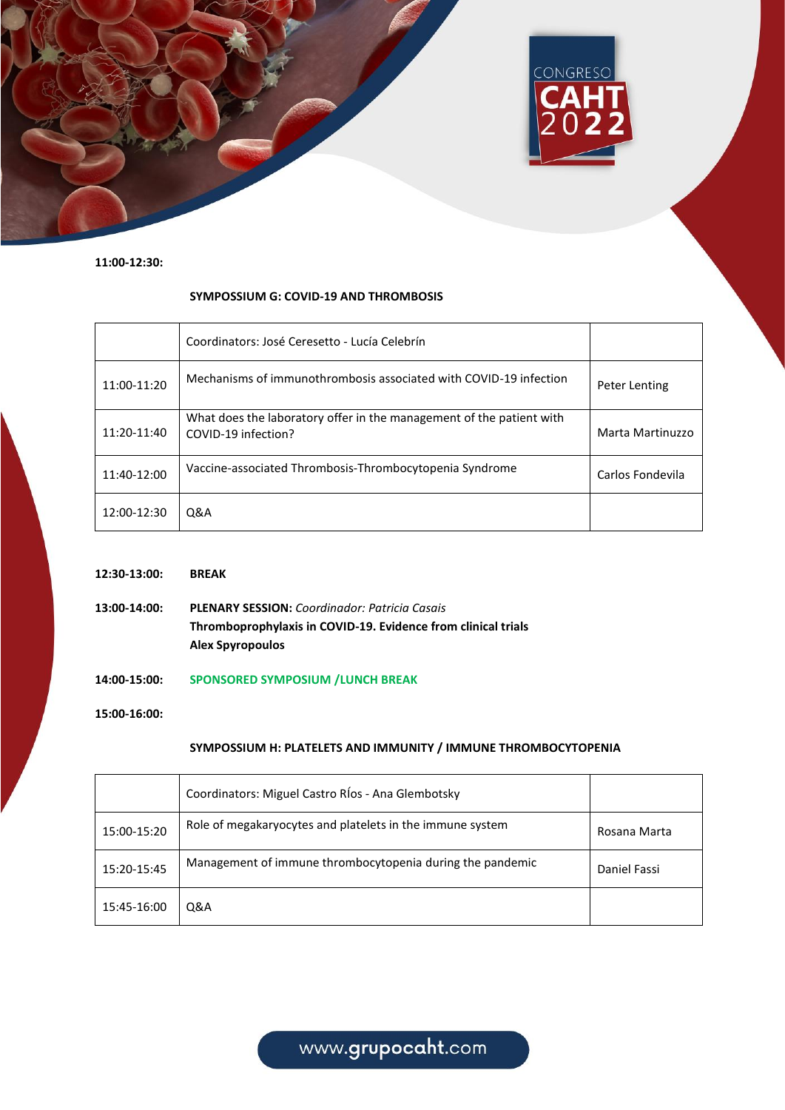

**11:00-12:30:**

### **SYMPOSSIUM G: COVID-19 AND THROMBOSIS**

|             | Coordinators: José Ceresetto - Lucía Celebrín                                               |                  |
|-------------|---------------------------------------------------------------------------------------------|------------------|
| 11:00-11:20 | Mechanisms of immunothrombosis associated with COVID-19 infection                           | Peter Lenting    |
| 11:20-11:40 | What does the laboratory offer in the management of the patient with<br>COVID-19 infection? | Marta Martinuzzo |
| 11:40-12:00 | Vaccine-associated Thrombosis-Thrombocytopenia Syndrome                                     | Carlos Fondevila |
| 12:00-12:30 | Q&A                                                                                         |                  |

- **12:30-13:00: BREAK**
- **13:00-14:00: PLENARY SESSION:** *Coordinador: Patricia Casais* **Thromboprophylaxis in COVID-19. Evidence from clinical trials Alex Spyropoulos**
- **14:00-15:00: SPONSORED SYMPOSIUM /LUNCH BREAK**

**15:00-16:00:**

### **SYMPOSSIUM H: PLATELETS AND IMMUNITY / IMMUNE THROMBOCYTOPENIA**

|             | Coordinators: Miguel Castro RÍos - Ana Glembotsky         |              |
|-------------|-----------------------------------------------------------|--------------|
| 15:00-15:20 | Role of megakaryocytes and platelets in the immune system | Rosana Marta |
| 15:20-15:45 | Management of immune thrombocytopenia during the pandemic | Daniel Fassi |
| 15:45-16:00 | Q&A                                                       |              |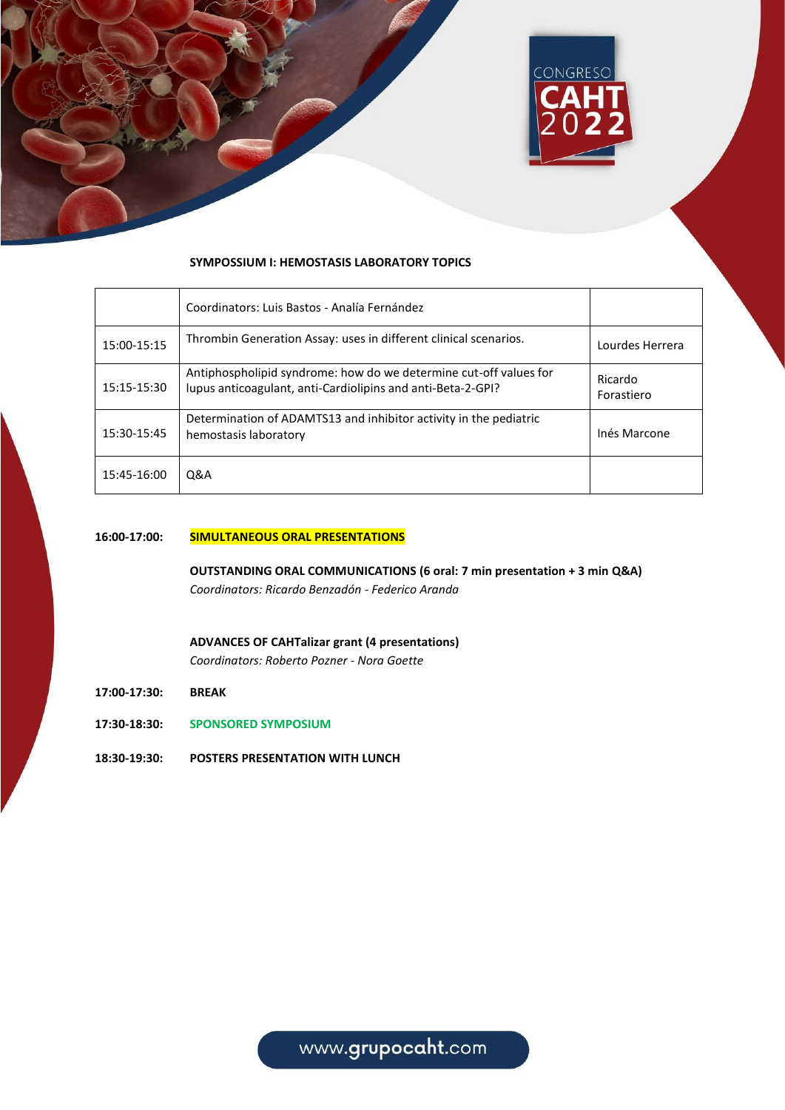

#### **SYMPOSSIUM I: HEMOSTASIS LABORATORY TOPICS**

|             | Coordinators: Luis Bastos - Analía Fernández                                                                                     |                       |
|-------------|----------------------------------------------------------------------------------------------------------------------------------|-----------------------|
| 15:00-15:15 | Thrombin Generation Assay: uses in different clinical scenarios.                                                                 | Lourdes Herrera       |
| 15:15-15:30 | Antiphospholipid syndrome: how do we determine cut-off values for<br>lupus anticoagulant, anti-Cardiolipins and anti-Beta-2-GPI? | Ricardo<br>Forastiero |
| 15:30-15:45 | Determination of ADAMTS13 and inhibitor activity in the pediatric<br>hemostasis laboratory                                       | Inés Marcone          |
| 15:45-16:00 | <b>Q&amp;A</b>                                                                                                                   |                       |

#### **16:00-17:00: SIMULTANEOUS ORAL PRESENTATIONS**

**OUTSTANDING ORAL COMMUNICATIONS (6 oral: 7 min presentation + 3 min Q&A)** *Coordinators: Ricardo Benzadón - Federico Aranda*

- **ADVANCES OF CAHTalizar grant (4 presentations)** *Coordinators: Roberto Pozner - Nora Goette*
- **17:00-17:30: BREAK**
- **17:30-18:30: SPONSORED SYMPOSIUM**
- **18:30-19:30: POSTERS PRESENTATION WITH LUNCH**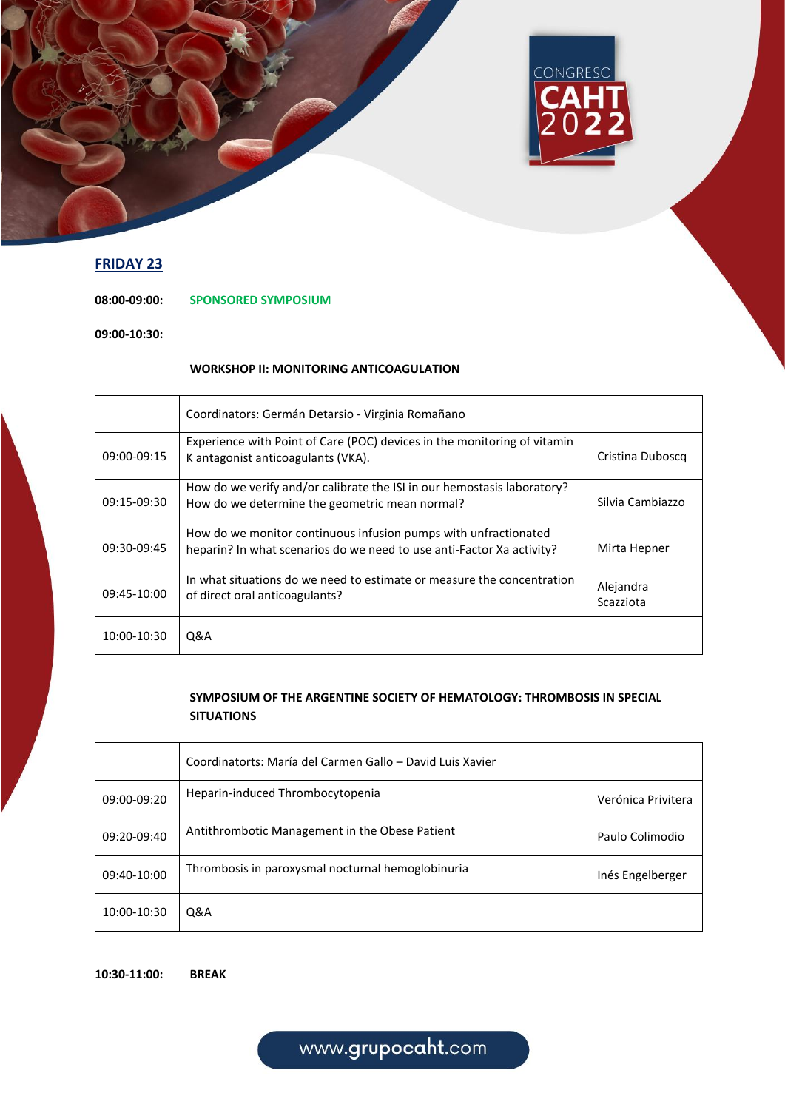

# **FRIDAY 23**

**08:00-09:00: SPONSORED SYMPOSIUM**

**09:00-10:30:**

## **WORKSHOP II: MONITORING ANTICOAGULATION**

|             | Coordinators: Germán Detarsio - Virginia Romañano                                                                                        |                        |
|-------------|------------------------------------------------------------------------------------------------------------------------------------------|------------------------|
| 09:00-09:15 | Experience with Point of Care (POC) devices in the monitoring of vitamin<br>K antagonist anticoagulants (VKA).                           | Cristina Duboscq       |
| 09:15-09:30 | How do we verify and/or calibrate the ISI in our hemostasis laboratory?<br>How do we determine the geometric mean normal?                | Silvia Cambiazzo       |
| 09:30-09:45 | How do we monitor continuous infusion pumps with unfractionated<br>heparin? In what scenarios do we need to use anti-Factor Xa activity? | Mirta Hepner           |
| 09:45-10:00 | In what situations do we need to estimate or measure the concentration<br>of direct oral anticoagulants?                                 | Alejandra<br>Scazziota |
| 10:00-10:30 | Q&A                                                                                                                                      |                        |

## **SYMPOSIUM OF THE ARGENTINE SOCIETY OF HEMATOLOGY: THROMBOSIS IN SPECIAL SITUATIONS**

|             | Coordinatorts: María del Carmen Gallo – David Luis Xavier |                    |
|-------------|-----------------------------------------------------------|--------------------|
| 09:00-09:20 | Heparin-induced Thrombocytopenia                          | Verónica Privitera |
| 09:20-09:40 | Antithrombotic Management in the Obese Patient            | Paulo Colimodio    |
| 09:40-10:00 | Thrombosis in paroxysmal nocturnal hemoglobinuria         | Inés Engelberger   |
| 10:00-10:30 | Q&A                                                       |                    |

**10:30-11:00: BREAK**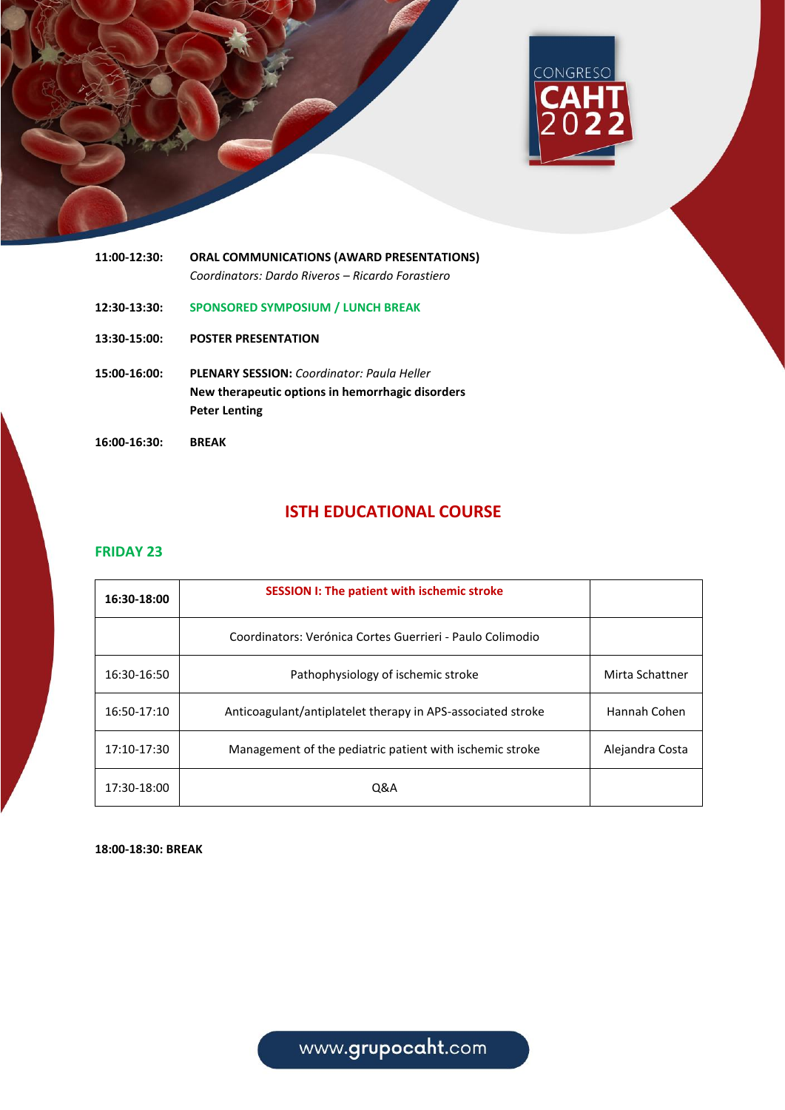



# **ISTH EDUCATIONAL COURSE**

## **FRIDAY 23**

| 16:30-18:00 | <b>SESSION I: The patient with ischemic stroke</b>          |                 |
|-------------|-------------------------------------------------------------|-----------------|
|             | Coordinators: Verónica Cortes Guerrieri - Paulo Colimodio   |                 |
| 16:30-16:50 | Pathophysiology of ischemic stroke                          | Mirta Schattner |
| 16:50-17:10 | Anticoagulant/antiplatelet therapy in APS-associated stroke | Hannah Cohen    |
| 17:10-17:30 | Management of the pediatric patient with ischemic stroke    | Alejandra Costa |
| 17:30-18:00 | Q&A                                                         |                 |

**18:00-18:30: BREAK**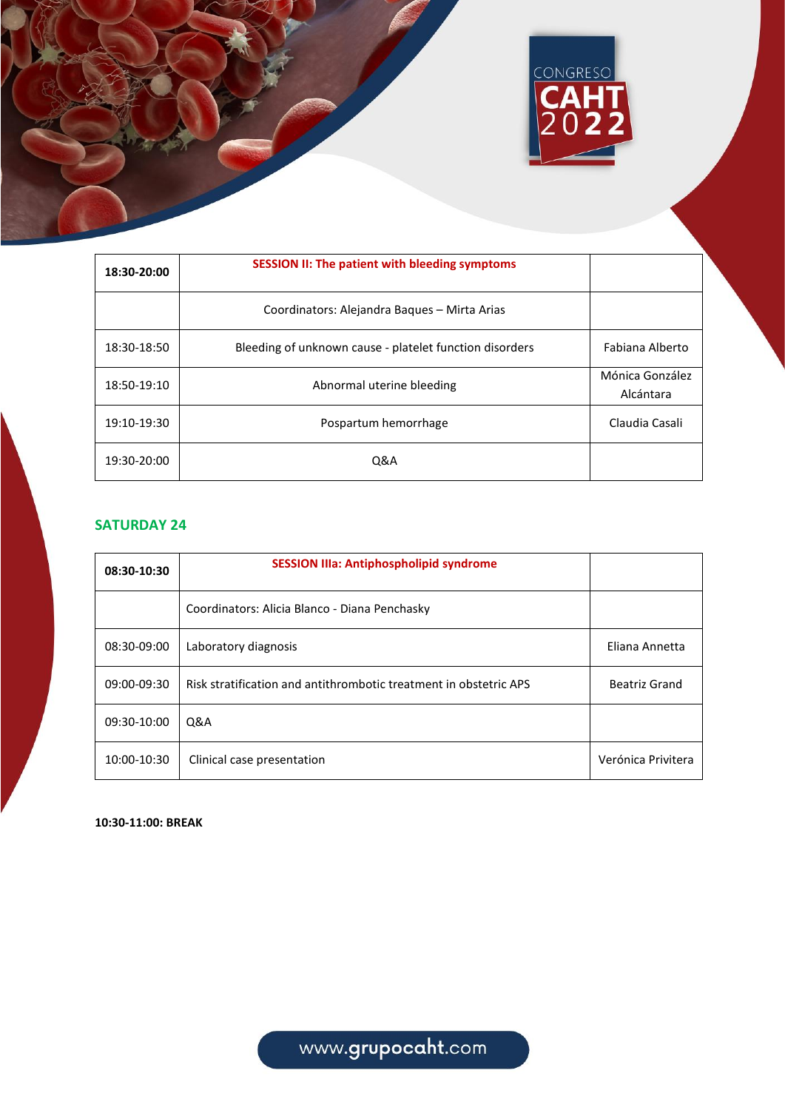

| 18:30-20:00 | SESSION II: The patient with bleeding symptoms          |                              |
|-------------|---------------------------------------------------------|------------------------------|
|             | Coordinators: Alejandra Bagues - Mirta Arias            |                              |
| 18:30-18:50 | Bleeding of unknown cause - platelet function disorders | Fabiana Alberto              |
| 18:50-19:10 | Abnormal uterine bleeding                               | Mónica González<br>Alcántara |
| 19:10-19:30 | Pospartum hemorrhage                                    | Claudia Casali               |
| 19:30-20:00 | <b>Q&amp;A</b>                                          |                              |

# **SATURDAY 24**

| 08:30-10:30 | <b>SESSION IIIa: Antiphospholipid syndrome</b>                    |                    |
|-------------|-------------------------------------------------------------------|--------------------|
|             | Coordinators: Alicia Blanco - Diana Penchasky                     |                    |
| 08:30-09:00 | Laboratory diagnosis                                              | Eliana Annetta     |
| 09:00-09:30 | Risk stratification and antithrombotic treatment in obstetric APS | Beatriz Grand      |
| 09:30-10:00 | Q&A                                                               |                    |
| 10:00-10:30 | Clinical case presentation                                        | Verónica Privitera |

**10:30-11:00: BREAK**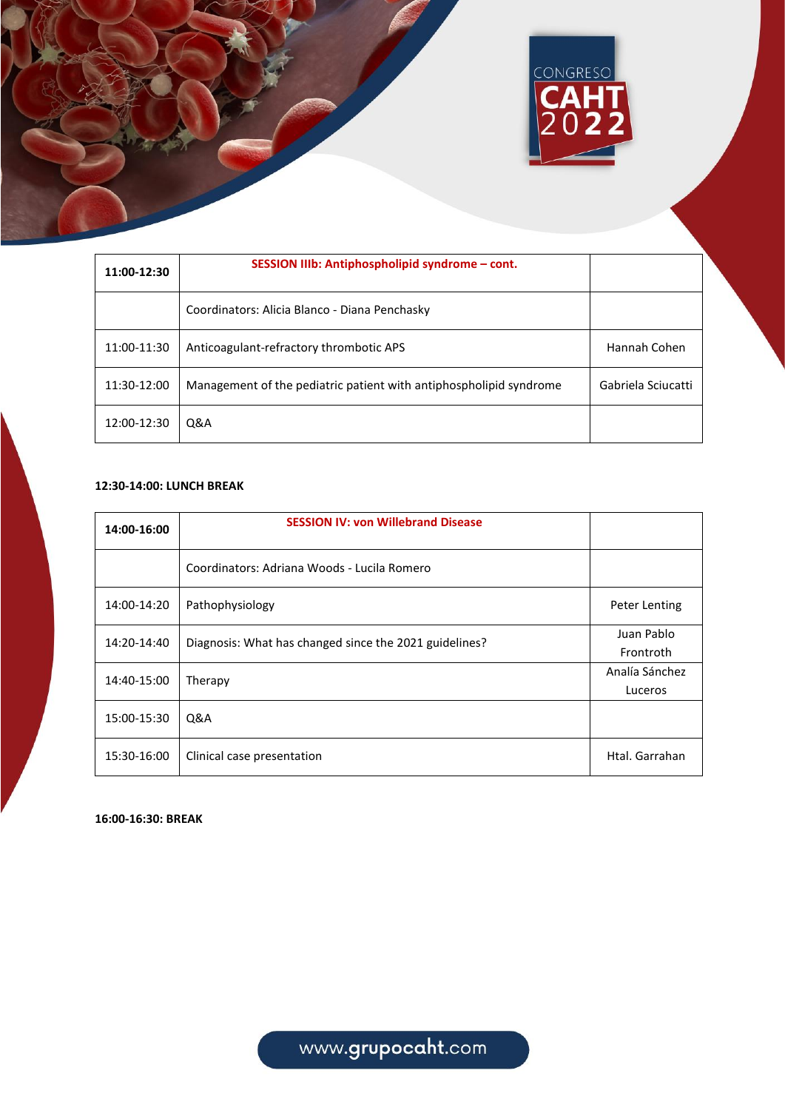|             |                                                 | CONGRESO<br><b>CAHT</b><br>2022 |  |
|-------------|-------------------------------------------------|---------------------------------|--|
| 11:00-12:30 | SESSION IIIb: Antiphospholipid syndrome - cont. |                                 |  |

| 11:UU-12:3U |                                                                    |                    |
|-------------|--------------------------------------------------------------------|--------------------|
|             | Coordinators: Alicia Blanco - Diana Penchasky                      |                    |
| 11:00-11:30 | Anticoagulant-refractory thrombotic APS                            | Hannah Cohen       |
| 11:30-12:00 | Management of the pediatric patient with antiphospholipid syndrome | Gabriela Sciucatti |
| 12:00-12:30 | Q&A                                                                |                    |

## **12:30-14:00: LUNCH BREAK**

| 14:00-16:00 | <b>SESSION IV: von Willebrand Disease</b>              |                |
|-------------|--------------------------------------------------------|----------------|
|             | Coordinators: Adriana Woods - Lucila Romero            |                |
| 14:00-14:20 | Pathophysiology                                        | Peter Lenting  |
| 14:20-14:40 | Diagnosis: What has changed since the 2021 guidelines? | Juan Pablo     |
|             |                                                        | Frontroth      |
| 14:40-15:00 | Therapy                                                | Analía Sánchez |
|             |                                                        | Luceros        |
| 15:00-15:30 | Q&A                                                    |                |
| 15:30-16:00 | Clinical case presentation                             | Htal. Garrahan |

**16:00-16:30: BREAK**